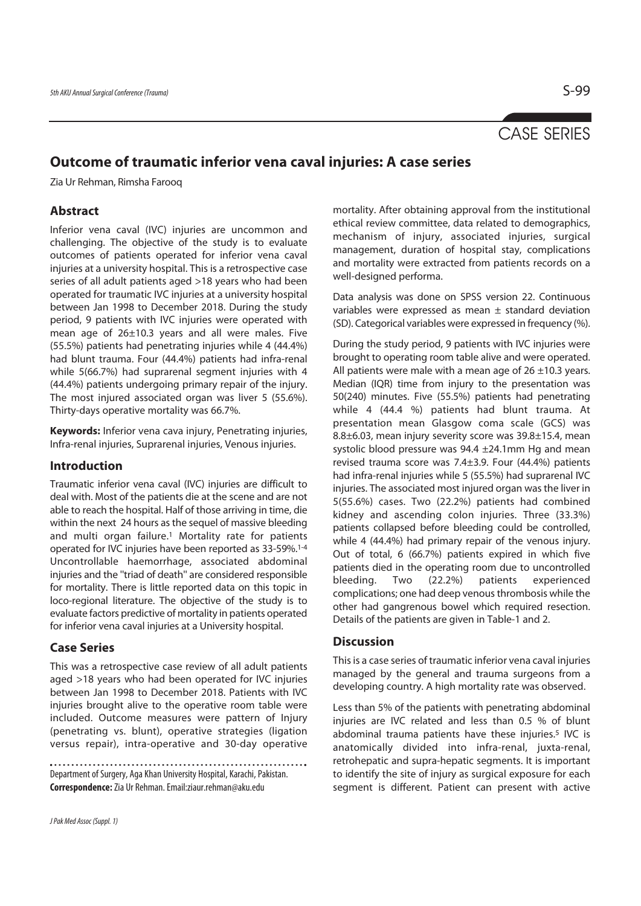# CASE SERIES

# **Outcome of traumatic inferior vena caval injuries: A case series**

Zia Ur Rehman, Rimsha Farooq

## **Abstract**

Inferior vena caval (IVC) injuries are uncommon and challenging. The objective of the study is to evaluate outcomes of patients operated for inferior vena caval injuries at a university hospital. This is a retrospective case series of all adult patients aged >18 years who had been operated for traumatic IVC injuries at a university hospital between Jan 1998 to December 2018. During the study period, 9 patients with IVC injuries were operated with mean age of 26±10.3 years and all were males. Five (55.5%) patients had penetrating injuries while 4 (44.4%) had blunt trauma. Four (44.4%) patients had infra-renal while 5(66.7%) had suprarenal segment injuries with 4 (44.4%) patients undergoing primary repair of the injury. The most injured associated organ was liver 5 (55.6%). Thirty-days operative mortality was 66.7%.

**Keywords:** Inferior vena cava injury, Penetrating injuries, Infra-renal injuries, Suprarenal injuries, Venous injuries.

### **Introduction**

Traumatic inferior vena caval (IVC) injuries are difficult to deal with. Most of the patients die at the scene and are not able to reach the hospital. Half of those arriving in time, die within the next 24 hours as the sequel of massive bleeding and multi organ failure.<sup>1</sup> Mortality rate for patients operated for IVC injuries have been reported as 33-59%.1-4 Uncontrollable haemorrhage, associated abdominal injuries and the ''triad of death'' are considered responsible for mortality. There is little reported data on this topic in loco-regional literature. The objective of the study is to evaluate factors predictive of mortality in patients operated for inferior vena caval injuries at a University hospital.

### **Case Series**

This was a retrospective case review of all adult patients aged >18 years who had been operated for IVC injuries between Jan 1998 to December 2018. Patients with IVC injuries brought alive to the operative room table were included. Outcome measures were pattern of Injury (penetrating vs. blunt), operative strategies (ligation versus repair), intra-operative and 30-day operative

Department of Surgery, Aga Khan University Hospital, Karachi, Pakistan. **Correspondence:** Zia Ur Rehman. Email:ziaur.rehman@aku.edu

mortality. After obtaining approval from the institutional ethical review committee, data related to demographics, mechanism of injury, associated injuries, surgical management, duration of hospital stay, complications and mortality were extracted from patients records on a well-designed performa.

Data analysis was done on SPSS version 22. Continuous variables were expressed as mean  $\pm$  standard deviation (SD). Categorical variables were expressed in frequency (%).

During the study period, 9 patients with IVC injuries were brought to operating room table alive and were operated. All patients were male with a mean age of  $26 \pm 10.3$  years. Median (IQR) time from injury to the presentation was 50(240) minutes. Five (55.5%) patients had penetrating while 4 (44.4 %) patients had blunt trauma. At presentation mean Glasgow coma scale (GCS) was 8.8±6.03, mean injury severity score was 39.8±15.4, mean systolic blood pressure was  $94.4 \pm 24.1$ mm Hg and mean revised trauma score was 7.4±3.9. Four (44.4%) patients had infra-renal injuries while 5 (55.5%) had suprarenal IVC injuries. The associated most injured organ was the liver in 5(55.6%) cases. Two (22.2%) patients had combined kidney and ascending colon injuries. Three (33.3%) patients collapsed before bleeding could be controlled, while 4 (44.4%) had primary repair of the venous injury. Out of total, 6 (66.7%) patients expired in which five patients died in the operating room due to uncontrolled bleeding. Two (22.2%) patients experienced complications; one had deep venous thrombosis while the other had gangrenous bowel which required resection. Details of the patients are given in Table-1 and 2.

### **Discussion**

This is a case series of traumatic inferior vena caval injuries managed by the general and trauma surgeons from a developing country. A high mortality rate was observed.

Less than 5% of the patients with penetrating abdominal injuries are IVC related and less than 0.5 % of blunt abdominal trauma patients have these injuries.<sup>5</sup> IVC is anatomically divided into infra-renal, juxta-renal, retrohepatic and supra-hepatic segments. It is important to identify the site of injury as surgical exposure for each segment is different. Patient can present with active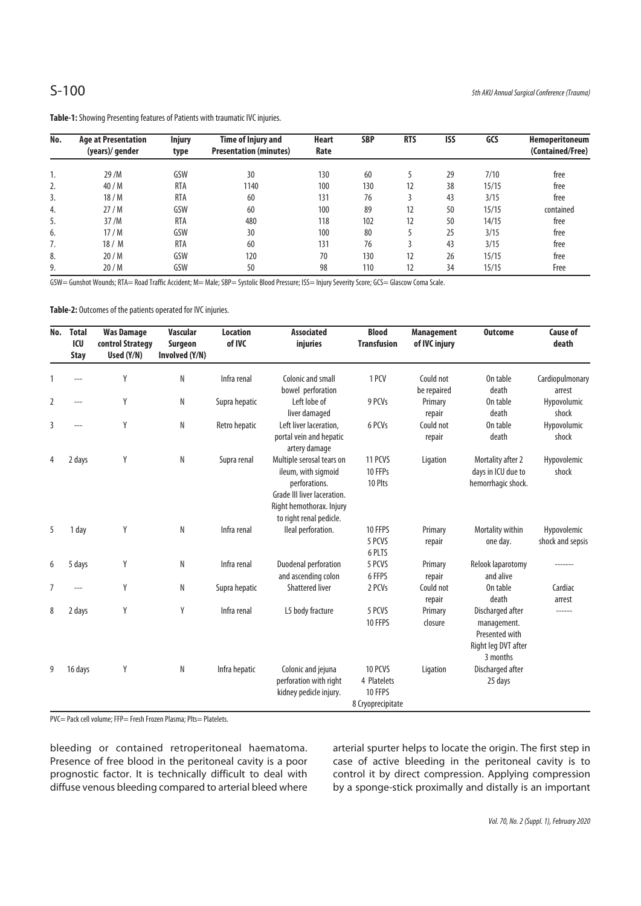| No. | <b>Age at Presentation</b> | <b>Injury</b> | Time of Injury and            | <b>Heart</b> | <b>SBP</b> | <b>RTS</b> | <b>ISS</b> | GCS   | Hemoperitoneum   |
|-----|----------------------------|---------------|-------------------------------|--------------|------------|------------|------------|-------|------------------|
|     | (years)/gender             | type          | <b>Presentation (minutes)</b> | Rate         |            |            |            |       | (Contained/Free) |
|     |                            |               |                               |              |            |            |            |       |                  |
| ٠.  | 29 /M                      | GSW           | 30                            | 130          | 60         |            | 29         | 7/10  | free             |
| 2.  | 40/M                       | <b>RTA</b>    | 1140                          | 100          | 130        | 12         | 38         | 15/15 | free             |
| 3.  | 18/M                       | <b>RTA</b>    | 60                            | 131          | 76         |            | 43         | 3/15  | free             |
| 4.  | 27/M                       | GSW           | 60                            | 100          | 89         | 12         | 50         | 15/15 | contained        |
| 5.  | 37/M                       | <b>RTA</b>    | 480                           | 118          | 102        | 12         | 50         | 14/15 | free             |
| 6.  | 17/M                       | GSW           | 30                            | 100          | 80         |            | 25         | 3/15  | free             |
| 7.  | 18/ M                      | <b>RTA</b>    | 60                            | 131          | 76         |            | 43         | 3/15  | free             |
| 8.  | 20/M                       | GSW           | 120                           | 70           | 130        | 12         | 26         | 15/15 | free             |
| 9.  | 20/M                       | GSW           | 50                            | 98           | 110        | 12         | 34         | 15/15 | Free             |

**Table-1:** Showing Presenting features of Patients with traumatic IVC injuries.

GSW= Gunshot Wounds; RTA= Road Traffic Accident; M= Male; SBP= Systolic Blood Pressure; ISS= Injury Severity Score; GCS= Glascow Coma Scale.

**Table-2:** Outcomes of the patients operated for IVC injuries.

| No.            | <b>Total</b><br>ICU<br><b>Stay</b> | <b>Was Damage</b><br>control Strategy<br>Used (Y/N) | <b>Vascular</b><br>Surgeon<br>Involved (Y/N) | <b>Location</b><br>of IVC | <b>Associated</b><br>injuries                                                                                                                           | <b>Blood</b><br><b>Transfusion</b>                     | <b>Management</b><br>of IVC injury | <b>Outcome</b>                                                                       | <b>Cause of</b><br>death        |
|----------------|------------------------------------|-----------------------------------------------------|----------------------------------------------|---------------------------|---------------------------------------------------------------------------------------------------------------------------------------------------------|--------------------------------------------------------|------------------------------------|--------------------------------------------------------------------------------------|---------------------------------|
| $\mathbf{1}$   |                                    | Y                                                   | N                                            | Infra renal               | Colonic and small<br>bowel perforation                                                                                                                  | 1 PCV                                                  | Could not<br>be repaired           | On table<br>death                                                                    | Cardiopulmonary<br>arrest       |
| $\overline{2}$ | ---                                | Y                                                   | N                                            | Supra hepatic             | Left lobe of<br>liver damaged                                                                                                                           | 9 PCVs                                                 | Primary<br>repair                  | On table<br>death                                                                    | Hypovolumic<br>shock            |
| 3              |                                    | Y                                                   | N                                            | Retro hepatic             | Left liver laceration,<br>portal vein and hepatic<br>artery damage                                                                                      | 6 PCVs                                                 | Could not<br>repair                | On table<br>death                                                                    | Hypovolumic<br>shock            |
| 4              | 2 days                             | Y                                                   | N                                            | Supra renal               | Multiple serosal tears on<br>ileum, with sigmoid<br>perforations.<br>Grade III liver laceration.<br>Right hemothorax. Injury<br>to right renal pedicle. | 11 PCVS<br>10 FFPs<br>10 Plts                          | Ligation                           | Mortality after 2<br>days in ICU due to<br>hemorrhagic shock.                        | Hypovolemic<br>shock            |
| 5              | 1 day                              | Y                                                   | N                                            | Infra renal               | lleal perforation.                                                                                                                                      | 10 FFPS<br>5 PCVS<br>6 PLTS                            | Primary<br>repair                  | Mortality within<br>one day.                                                         | Hypovolemic<br>shock and sepsis |
| 6              | 5 days                             | Y                                                   | N                                            | Infra renal               | Duodenal perforation<br>and ascending colon                                                                                                             | 5 PCVS<br>6 FFPS                                       | Primary<br>repair                  | Relook laparotomy<br>and alive                                                       |                                 |
| $\overline{7}$ | ---                                | Y                                                   | N                                            | Supra hepatic             | <b>Shattered liver</b>                                                                                                                                  | 2 PCVs                                                 | Could not<br>repair                | On table<br>death                                                                    | Cardiac<br>arrest               |
| 8              | 2 days                             | Υ                                                   | Υ                                            | Infra renal               | L5 body fracture                                                                                                                                        | 5 PCVS<br>10 FFPS                                      | Primary<br>closure                 | Discharged after<br>management.<br>Presented with<br>Right leg DVT after<br>3 months |                                 |
| 9              | 16 days                            | Y                                                   | N                                            | Infra hepatic             | Colonic and jejuna<br>perforation with right<br>kidney pedicle injury.                                                                                  | 10 PCVS<br>4 Platelets<br>10 FFPS<br>8 Cryoprecipitate | Ligation                           | Discharged after<br>25 days                                                          |                                 |

PVC= Pack cell volume; FFP= Fresh Frozen Plasma; Plts= Platelets.

bleeding or contained retroperitoneal haematoma. Presence of free blood in the peritoneal cavity is a poor prognostic factor. It is technically difficult to deal with diffuse venous bleeding compared to arterial bleed where

arterial spurter helps to locate the origin. The first step in case of active bleeding in the peritoneal cavity is to control it by direct compression. Applying compression by a sponge-stick proximally and distally is an important